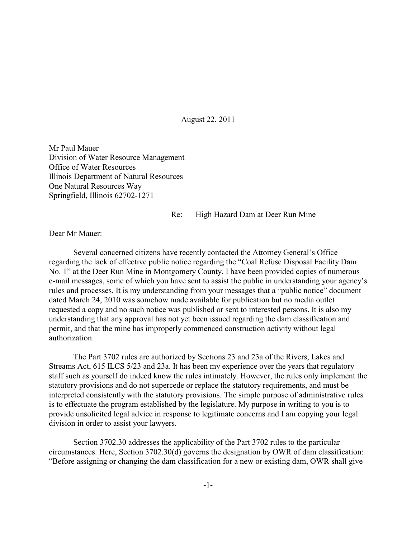August 22, 2011

Mr Paul Mauer Division of Water Resource Management Office of Water Resources Illinois Department of Natural Resources One Natural Resources Way Springfield, Illinois 62702-1271

## Re: High Hazard Dam at Deer Run Mine

Dear Mr Mauer:

Several concerned citizens have recently contacted the Attorney General's Office regarding the lack of effective public notice regarding the "Coal Refuse Disposal Facility Dam No. 1" at the Deer Run Mine in Montgomery County. I have been provided copies of numerous e-mail messages, some of which you have sent to assist the public in understanding your agency's rules and processes. It is my understanding from your messages that a "public notice" document dated March 24, 2010 was somehow made available for publication but no media outlet requested a copy and no such notice was published or sent to interested persons. It is also my understanding that any approval has not yet been issued regarding the dam classification and permit, and that the mine has improperly commenced construction activity without legal authorization.

The Part 3702 rules are authorized by Sections 23 and 23a of the Rivers, Lakes and Streams Act, 615 ILCS 5/23 and 23a. It has been my experience over the years that regulatory staff such as yourself do indeed know the rules intimately. However, the rules only implement the statutory provisions and do not supercede or replace the statutory requirements, and must be interpreted consistently with the statutory provisions. The simple purpose of administrative rules is to effectuate the program established by the legislature. My purpose in writing to you is to provide unsolicited legal advice in response to legitimate concerns and I am copying your legal division in order to assist your lawyers.

Section 3702.30 addresses the applicability of the Part 3702 rules to the particular circumstances. Here, Section 3702.30(d) governs the designation by OWR of dam classification: "Before assigning or changing the dam classification for a new or existing dam, OWR shall give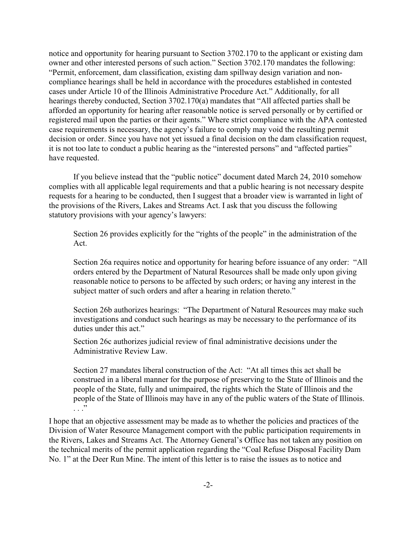notice and opportunity for hearing pursuant to Section 3702.170 to the applicant or existing dam owner and other interested persons of such action." Section 3702.170 mandates the following: "Permit, enforcement, dam classification, existing dam spillway design variation and noncompliance hearings shall be held in accordance with the procedures established in contested cases under Article 10 of the Illinois Administrative Procedure Act." Additionally, for all hearings thereby conducted, Section 3702.170(a) mandates that "All affected parties shall be afforded an opportunity for hearing after reasonable notice is served personally or by certified or registered mail upon the parties or their agents." Where strict compliance with the APA contested case requirements is necessary, the agency's failure to comply may void the resulting permit decision or order. Since you have not yet issued a final decision on the dam classification request, it is not too late to conduct a public hearing as the "interested persons" and "affected parties" have requested.

If you believe instead that the "public notice" document dated March 24, 2010 somehow complies with all applicable legal requirements and that a public hearing is not necessary despite requests for a hearing to be conducted, then I suggest that a broader view is warranted in light of the provisions of the Rivers, Lakes and Streams Act. I ask that you discuss the following statutory provisions with your agency's lawyers:

Section 26 provides explicitly for the "rights of the people" in the administration of the Act.

Section 26a requires notice and opportunity for hearing before issuance of any order: "All orders entered by the Department of Natural Resources shall be made only upon giving reasonable notice to persons to be affected by such orders; or having any interest in the subject matter of such orders and after a hearing in relation thereto."

Section 26b authorizes hearings: "The Department of Natural Resources may make such investigations and conduct such hearings as may be necessary to the performance of its duties under this act."

Section 26c authorizes judicial review of final administrative decisions under the Administrative Review Law.

Section 27 mandates liberal construction of the Act: "At all times this act shall be construed in a liberal manner for the purpose of preserving to the State of Illinois and the people of the State, fully and unimpaired, the rights which the State of Illinois and the people of the State of Illinois may have in any of the public waters of the State of Illinois. . . . <del>.</del> .

I hope that an objective assessment may be made as to whether the policies and practices of the Division of Water Resource Management comport with the public participation requirements in the Rivers, Lakes and Streams Act. The Attorney General's Office has not taken any position on the technical merits of the permit application regarding the "Coal Refuse Disposal Facility Dam No. 1" at the Deer Run Mine. The intent of this letter is to raise the issues as to notice and